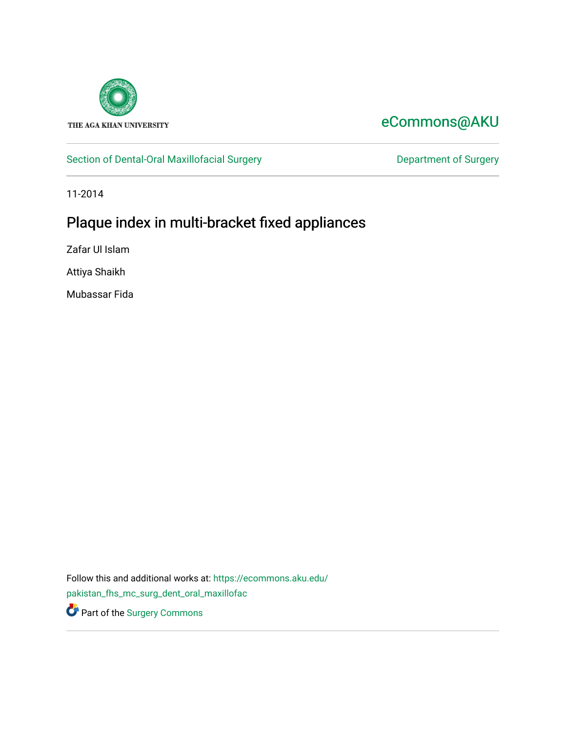

# [eCommons@AKU](https://ecommons.aku.edu/)

## [Section of Dental-Oral Maxillofacial Surgery](https://ecommons.aku.edu/pakistan_fhs_mc_surg_dent_oral_maxillofac) **Department of Surgery** Department of Surgery

11-2014

# Plaque index in multi-bracket fixed appliances

Zafar Ul Islam

Attiya Shaikh

Mubassar Fida

Follow this and additional works at: [https://ecommons.aku.edu/](https://ecommons.aku.edu/pakistan_fhs_mc_surg_dent_oral_maxillofac?utm_source=ecommons.aku.edu%2Fpakistan_fhs_mc_surg_dent_oral_maxillofac%2F152&utm_medium=PDF&utm_campaign=PDFCoverPages) [pakistan\\_fhs\\_mc\\_surg\\_dent\\_oral\\_maxillofac](https://ecommons.aku.edu/pakistan_fhs_mc_surg_dent_oral_maxillofac?utm_source=ecommons.aku.edu%2Fpakistan_fhs_mc_surg_dent_oral_maxillofac%2F152&utm_medium=PDF&utm_campaign=PDFCoverPages) Part of the [Surgery Commons](http://network.bepress.com/hgg/discipline/706?utm_source=ecommons.aku.edu%2Fpakistan_fhs_mc_surg_dent_oral_maxillofac%2F152&utm_medium=PDF&utm_campaign=PDFCoverPages)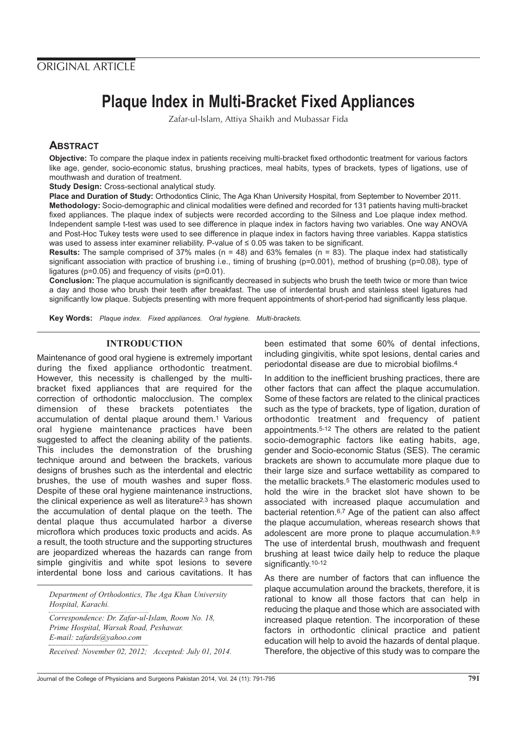# **Plaque Index in Multi-Bracket Fixed Appliances**

Zafar-ul-Islam, Attiya Shaikh and Mubassar Fida

### **ABSTRACT**

**Objective:** To compare the plaque index in patients receiving multi-bracket fixed orthodontic treatment for various factors like age, gender, socio-economic status, brushing practices, meal habits, types of brackets, types of ligations, use of mouthwash and duration of treatment.

**Study Design:** Cross-sectional analytical study.

**Place and Duration of Study:** Orthodontics Clinic, The Aga Khan University Hospital, from September to November 2011. **Methodology:** Socio-demographic and clinical modalities were defined and recorded for 131 patients having multi-bracket fixed appliances. The plaque index of subjects were recorded according to the Silness and Loe plaque index method. Independent sample t-test was used to see difference in plaque index in factors having two variables. One way ANOVA and Post-Hoc Tukey tests were used to see difference in plaque index in factors having three variables. Kappa statistics was used to assess inter examiner reliability. P-value of ≤ 0.05 was taken to be significant.

**Results:** The sample comprised of 37% males (n = 48) and 63% females (n = 83). The plaque index had statistically significant association with practice of brushing i.e., timing of brushing (p=0.001), method of brushing (p=0.08), type of ligatures (p=0.05) and frequency of visits (p=0.01).

**Conclusion:** The plaque accumulation is significantly decreased in subjects who brush the teeth twice or more than twice a day and those who brush their teeth after breakfast. The use of interdental brush and stainless steel ligatures had significantly low plaque. Subjects presenting with more frequent appointments of short-period had significantly less plaque.

**Key Words:** Plaque index. Fixed appliances. Oral hygiene. Multi-brackets.

#### **INTRODUCTION**

Maintenance of good oral hygiene is extremely important during the fixed appliance orthodontic treatment. However, this necessity is challenged by the multibracket fixed appliances that are required for the correction of orthodontic malocclusion. The complex dimension of these brackets potentiates the accumulation of dental plaque around them.1 Various oral hygiene maintenance practices have been suggested to affect the cleaning ability of the patients. This includes the demonstration of the brushing technique around and between the brackets, various designs of brushes such as the interdental and electric brushes, the use of mouth washes and super floss. Despite of these oral hygiene maintenance instructions, the clinical experience as well as literature2,3 has shown the accumulation of dental plaque on the teeth. The dental plaque thus accumulated harbor a diverse microflora which produces toxic products and acids. As a result, the tooth structure and the supporting structures are jeopardized whereas the hazards can range from simple gingivitis and white spot lesions to severe interdental bone loss and carious cavitations. It has

*Department of Orthodontics, The Aga Khan University Hospital, Karachi.*

*Correspondence: Dr. Zafar-ul-Islam, Room No. 18, Prime Hospital, Warsak Road, Peshawar. E-mail: zafards@yahoo.com*

*Received: November 02, 2012; Accepted: July 01, 2014.*

been estimated that some 60% of dental infections, including gingivitis, white spot lesions, dental caries and periodontal disease are due to microbial biofilms.4

In addition to the inefficient brushing practices, there are other factors that can affect the plaque accumulation. Some of these factors are related to the clinical practices such as the type of brackets, type of ligation, duration of orthodontic treatment and frequency of patient appointments.5-12 The others are related to the patient socio-demographic factors like eating habits, age, gender and Socio-economic Status (SES). The ceramic brackets are shown to accumulate more plaque due to their large size and surface wettability as compared to the metallic brackets.5 The elastomeric modules used to hold the wire in the bracket slot have shown to be associated with increased plaque accumulation and bacterial retention.6,7 Age of the patient can also affect the plaque accumulation, whereas research shows that adolescent are more prone to plaque accumulation.8,9 The use of interdental brush, mouthwash and frequent brushing at least twice daily help to reduce the plaque significantly.<sup>10-12</sup>

As there are number of factors that can influence the plaque accumulation around the brackets, therefore, it is rational to know all those factors that can help in reducing the plaque and those which are associated with increased plaque retention. The incorporation of these factors in orthodontic clinical practice and patient education will help to avoid the hazards of dental plaque. Therefore, the objective of this study was to compare the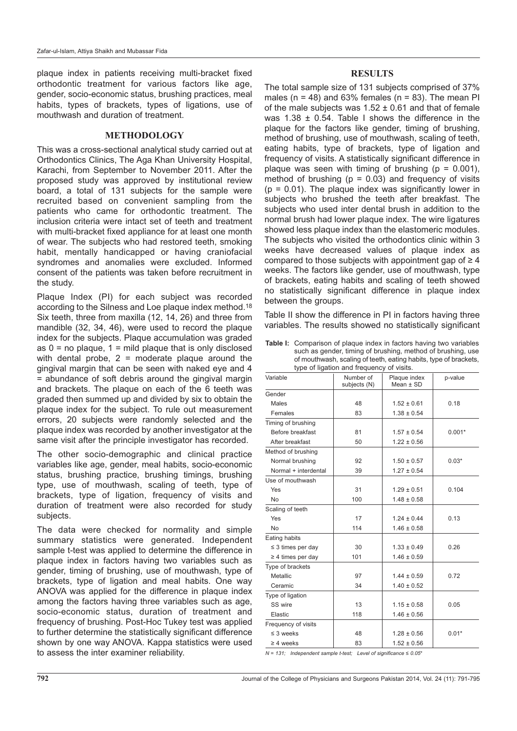plaque index in patients receiving multi-bracket fixed orthodontic treatment for various factors like age, gender, socio-economic status, brushing practices, meal habits, types of brackets, types of ligations, use of mouthwash and duration of treatment.

#### **METHODOLOGY**

This was a cross-sectional analytical study carried out at Orthodontics Clinics, The Aga Khan University Hospital, Karachi, from September to November 2011. After the proposed study was approved by institutional review board, a total of 131 subjects for the sample were recruited based on convenient sampling from the patients who came for orthodontic treatment. The inclusion criteria were intact set of teeth and treatment with multi-bracket fixed appliance for at least one month of wear. The subjects who had restored teeth, smoking habit, mentally handicapped or having craniofacial syndromes and anomalies were excluded. Informed consent of the patients was taken before recruitment in the study.

Plaque Index (PI) for each subject was recorded according to the Silness and Loe plaque index method.18 Six teeth, three from maxilla (12, 14, 26) and three from mandible (32, 34, 46), were used to record the plaque index for the subjects. Plaque accumulation was graded as  $0 =$  no plaque,  $1 =$  mild plaque that is only disclosed with dental probe,  $2 =$  moderate plaque around the gingival margin that can be seen with naked eye and 4 = abundance of soft debris around the gingival margin and brackets. The plaque on each of the 6 teeth was graded then summed up and divided by six to obtain the plaque index for the subject. To rule out measurement errors, 20 subjects were randomly selected and the plaque index was recorded by another investigator at the same visit after the principle investigator has recorded.

The other socio-demographic and clinical practice variables like age, gender, meal habits, socio-economic status, brushing practice, brushing timings, brushing type, use of mouthwash, scaling of teeth, type of brackets, type of ligation, frequency of visits and duration of treatment were also recorded for study subjects.

The data were checked for normality and simple summary statistics were generated. Independent sample t-test was applied to determine the difference in plaque index in factors having two variables such as gender, timing of brushing, use of mouthwash, type of brackets, type of ligation and meal habits. One way ANOVA was applied for the difference in plaque index among the factors having three variables such as age, socio-economic status, duration of treatment and frequency of brushing. Post-Hoc Tukey test was applied to further determine the statistically significant difference shown by one way ANOVA. Kappa statistics were used to assess the inter examiner reliability.

#### **RESULTS**

The total sample size of 131 subjects comprised of 37% males ( $n = 48$ ) and 63% females ( $n = 83$ ). The mean PI of the male subjects was  $1.52 \pm 0.61$  and that of female was  $1.38 \pm 0.54$ . Table I shows the difference in the plaque for the factors like gender, timing of brushing, method of brushing, use of mouthwash, scaling of teeth, eating habits, type of brackets, type of ligation and frequency of visits. A statistically significant difference in plaque was seen with timing of brushing ( $p = 0.001$ ), method of brushing ( $p = 0.03$ ) and frequency of visits  $(p = 0.01)$ . The plaque index was significantly lower in subjects who brushed the teeth after breakfast. The subjects who used inter dental brush in addition to the normal brush had lower plaque index. The wire ligatures showed less plaque index than the elastomeric modules. The subjects who visited the orthodontics clinic within 3 weeks have decreased values of plaque index as compared to those subjects with appointment gap of  $\geq 4$ weeks. The factors like gender, use of mouthwash, type of brackets, eating habits and scaling of teeth showed no statistically significant difference in plaque index between the groups.

Table II show the difference in PI in factors having three variables. The results showed no statistically significant

**Table I:** Comparison of plaque index in factors having two variables such as gender, timing of brushing, method of brushing, use of mouthwash, scaling of teeth, eating habits, type of brackets, type of ligation and f

| type or ligation and inequency or visits. |                           |                               |          |  |  |
|-------------------------------------------|---------------------------|-------------------------------|----------|--|--|
| Variable                                  | Number of<br>subjects (N) | Plaque index<br>Mean $\pm$ SD | p-value  |  |  |
| Gender                                    |                           |                               |          |  |  |
| Males                                     | 48                        | $1.52 \pm 0.61$               | 0.18     |  |  |
| Females                                   | 83                        | $1.38 \pm 0.54$               |          |  |  |
| Timing of brushing                        |                           |                               |          |  |  |
| Before breakfast                          | 81                        | $1.57 \pm 0.54$               | $0.001*$ |  |  |
| After breakfast                           | 50                        | $1.22 \pm 0.56$               |          |  |  |
| Method of brushing                        |                           |                               |          |  |  |
| Normal brushing                           | 92                        | $1.50 \pm 0.57$               | $0.03*$  |  |  |
| Normal + interdental                      | 39                        | $1.27 \pm 0.54$               |          |  |  |
| Use of mouthwash                          |                           |                               |          |  |  |
| Yes                                       | 31                        | $1.29 \pm 0.51$               | 0.104    |  |  |
| <b>No</b>                                 | 100                       | $1.48 \pm 0.58$               |          |  |  |
| Scaling of teeth                          |                           |                               |          |  |  |
| Yes                                       | 17                        | $1.24 \pm 0.44$               | 0.13     |  |  |
| <b>No</b>                                 | 114                       | $1.46 \pm 0.58$               |          |  |  |
| Eating habits                             |                           |                               |          |  |  |
| $\leq$ 3 times per day                    | 30                        | $1.33 \pm 0.49$               | 0.26     |  |  |
| $\geq$ 4 times per day                    | 101                       | $1.46 \pm 0.59$               |          |  |  |
| Type of brackets                          |                           |                               |          |  |  |
| Metallic                                  | 97                        | $1.44 \pm 0.59$               | 0.72     |  |  |
| Ceramic                                   | 34                        | $1.40 \pm 0.52$               |          |  |  |
| Type of ligation                          |                           |                               |          |  |  |
| SS wire                                   | 13                        | $1.15 \pm 0.58$               | 0.05     |  |  |
| Elastic                                   | 118                       | $1.46 \pm 0.56$               |          |  |  |
| Frequency of visits                       |                           |                               |          |  |  |
| $\leq$ 3 weeks                            | 48                        | $1.28 \pm 0.56$               | $0.01*$  |  |  |
| $\geq 4$ weeks                            | 83                        | $1.52 \pm 0.56$               |          |  |  |
|                                           |                           |                               |          |  |  |

 $N = 131$ ; Independent sample t-test; Level of significance  $\leq 0.05$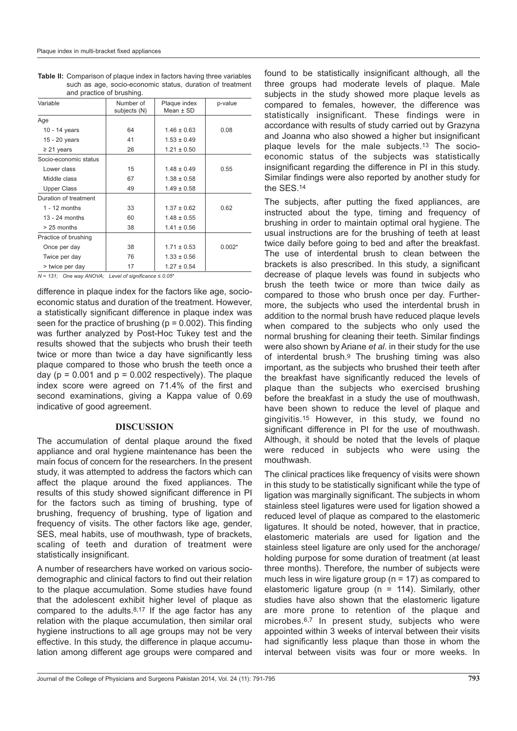| and practice or practiting. |                           |                               |          |  |  |
|-----------------------------|---------------------------|-------------------------------|----------|--|--|
| Variable                    | Number of<br>subjects (N) | Plaque index<br>Mean $\pm$ SD | p-value  |  |  |
| Age                         |                           |                               |          |  |  |
| 10 - 14 years               | 64                        | $1.46 \pm 0.63$               | 0.08     |  |  |
| 15 - 20 years               | 41                        | $1.53 \pm 0.49$               |          |  |  |
| $\geq$ 21 years             | 26                        | $1.21 \pm 0.50$               |          |  |  |
| Socio-economic status       |                           |                               |          |  |  |
| Lower class                 | 15                        | $1.48 \pm 0.49$               | 0.55     |  |  |
| Middle class                | 67                        | $1.38 \pm 0.58$               |          |  |  |
| <b>Upper Class</b>          | 49                        | $1.49 \pm 0.58$               |          |  |  |
| Duration of treatment       |                           |                               |          |  |  |
| $1 - 12$ months             | 33                        | $1.37 \pm 0.62$               | 0.62     |  |  |
| $13 - 24$ months            | 60                        | $1.48 \pm 0.55$               |          |  |  |
| $> 25$ months               | 38                        | $1.41 \pm 0.56$               |          |  |  |
| Practice of brushing        |                           |                               |          |  |  |
| Once per day                | 38                        | $1.71 \pm 0.53$               | $0.002*$ |  |  |
| Twice per day               | 76                        | $1.33 \pm 0.56$               |          |  |  |
| > twice per day             | 17                        | $1.27 \pm 0.54$               |          |  |  |

**Table II:** Comparison of plaque index in factors having three variables such as age, socio-economic status, duration of treatment and practice of brushing.

 $N = 131$ ; One way ANOVA; Level of significance  $\leq 0.05$ <sup>\*</sup>

difference in plaque index for the factors like age, socioeconomic status and duration of the treatment. However, a statistically significant difference in plaque index was seen for the practice of brushing ( $p = 0.002$ ). This finding was further analyzed by Post-Hoc Tukey test and the results showed that the subjects who brush their teeth twice or more than twice a day have significantly less plaque compared to those who brush the teeth once a day ( $p = 0.001$  and  $p = 0.002$  respectively). The plaque index score were agreed on 71.4% of the first and second examinations, giving a Kappa value of 0.69 indicative of good agreement.

#### **DISCUSSION**

The accumulation of dental plaque around the fixed appliance and oral hygiene maintenance has been the main focus of concern for the researchers. In the present study, it was attempted to address the factors which can affect the plaque around the fixed appliances. The results of this study showed significant difference in PI for the factors such as timing of brushing, type of brushing, frequency of brushing, type of ligation and frequency of visits. The other factors like age, gender, SES, meal habits, use of mouthwash, type of brackets, scaling of teeth and duration of treatment were statistically insignificant.

A number of researchers have worked on various sociodemographic and clinical factors to find out their relation to the plaque accumulation. Some studies have found that the adolescent exhibit higher level of plaque as compared to the adults. $8,17$  If the age factor has any relation with the plaque accumulation, then similar oral hygiene instructions to all age groups may not be very effective. In this study, the difference in plaque accumulation among different age groups were compared and

found to be statistically insignificant although, all the three groups had moderate levels of plaque. Male subjects in the study showed more plaque levels as compared to females, however, the difference was statistically insignificant. These findings were in accordance with results of study carried out by Grazyna and Joanna who also showed a higher but insignificant plaque levels for the male subjects.13 The socioeconomic status of the subjects was statistically insignificant regarding the difference in PI in this study. Similar findings were also reported by another study for the SES.14

The subjects, after putting the fixed appliances, are instructed about the type, timing and frequency of brushing in order to maintain optimal oral hygiene. The usual instructions are for the brushing of teeth at least twice daily before going to bed and after the breakfast. The use of interdental brush to clean between the brackets is also prescribed. In this study, a significant decrease of plaque levels was found in subjects who brush the teeth twice or more than twice daily as compared to those who brush once per day. Furthermore, the subjects who used the interdental brush in addition to the normal brush have reduced plaque levels when compared to the subjects who only used the normal brushing for cleaning their teeth. Similar findings were also shown by Ariane et al. in their study for the use of interdental brush.9 The brushing timing was also important, as the subjects who brushed their teeth after the breakfast have significantly reduced the levels of plaque than the subjects who exercised brushing before the breakfast in a study the use of mouthwash, have been shown to reduce the level of plaque and gingivitis.15 However, in this study, we found no significant difference in PI for the use of mouthwash. Although, it should be noted that the levels of plaque were reduced in subjects who were using the mouthwash.

The clinical practices like frequency of visits were shown in this study to be statistically significant while the type of ligation was marginally significant. The subjects in whom stainless steel ligatures were used for ligation showed a reduced level of plaque as compared to the elastomeric ligatures. It should be noted, however, that in practice, elastomeric materials are used for ligation and the stainless steel ligature are only used for the anchorage/ holding purpose for some duration of treatment (at least three months). Therefore, the number of subjects were much less in wire ligature group ( $n = 17$ ) as compared to elastomeric ligature group ( $n = 114$ ). Similarly, other studies have also shown that the elastomeric ligature are more prone to retention of the plaque and microbes.6,7 In present study, subjects who were appointed within 3 weeks of interval between their visits had significantly less plaque than those in whom the interval between visits was four or more weeks. In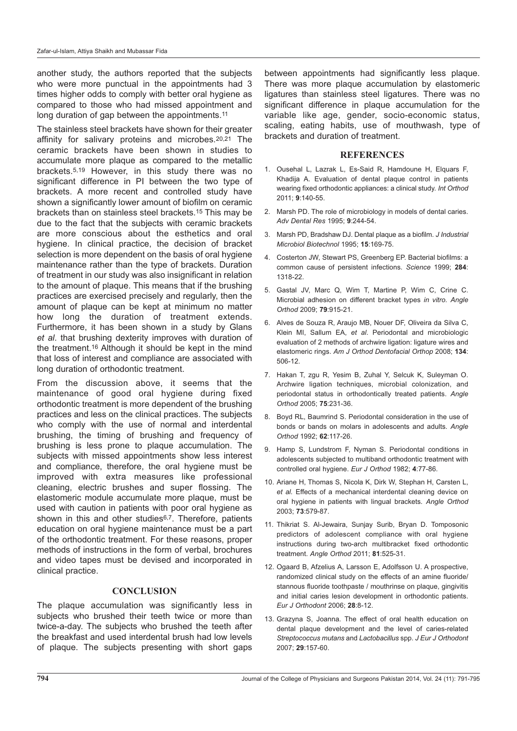another study, the authors reported that the subjects who were more punctual in the appointments had 3 times higher odds to comply with better oral hygiene as compared to those who had missed appointment and long duration of gap between the appointments.<sup>11</sup>

The stainless steel brackets have shown for their greater affinity for salivary proteins and microbes.20,21 The ceramic brackets have been shown in studies to accumulate more plaque as compared to the metallic brackets.5,19 However, in this study there was no significant difference in PI between the two type of brackets. A more recent and controlled study have shown a significantly lower amount of biofilm on ceramic brackets than on stainless steel brackets.15 This may be due to the fact that the subjects with ceramic brackets are more conscious about the esthetics and oral hygiene. In clinical practice, the decision of bracket selection is more dependent on the basis of oral hygiene maintenance rather than the type of brackets. Duration of treatment in our study was also insignificant in relation to the amount of plaque. This means that if the brushing practices are exercised precisely and regularly, then the amount of plaque can be kept at minimum no matter how long the duration of treatment extends. Furthermore, it has been shown in a study by Glans et al. that brushing dexterity improves with duration of the treatment.16 Although it should be kept in the mind that loss of interest and compliance are associated with long duration of orthodontic treatment.

From the discussion above, it seems that the maintenance of good oral hygiene during fixed orthodontic treatment is more dependent of the brushing practices and less on the clinical practices. The subjects who comply with the use of normal and interdental brushing, the timing of brushing and frequency of brushing is less prone to plaque accumulation. The subjects with missed appointments show less interest and compliance, therefore, the oral hygiene must be improved with extra measures like professional cleaning, electric brushes and super flossing. The elastomeric module accumulate more plaque, must be used with caution in patients with poor oral hygiene as shown in this and other studies<sup>6,7</sup>. Therefore, patients education on oral hygiene maintenance must be a part of the orthodontic treatment. For these reasons, proper methods of instructions in the form of verbal, brochures and video tapes must be devised and incorporated in clinical practice.

#### **CONCLUSION**

The plaque accumulation was significantly less in subjects who brushed their teeth twice or more than twice-a-day. The subjects who brushed the teeth after the breakfast and used interdental brush had low levels of plaque. The subjects presenting with short gaps

between appointments had significantly less plaque. There was more plaque accumulation by elastomeric ligatures than stainless steel ligatures. There was no significant difference in plaque accumulation for the variable like age, gender, socio-economic status, scaling, eating habits, use of mouthwash, type of brackets and duration of treatment.

#### **REFERENCES**

- 1. Ousehal L, Lazrak L, Es-Said R, Hamdoune H, Elquars F, Khadija A. Evaluation of dental plaque control in patients wearing fixed orthodontic appliances: a clinical study. Int Orthod 2011; **9**:140-55.
- 2. Marsh PD. The role of microbiology in models of dental caries. Adv Dental Res 1995; **9**:244-54.
- 3. Marsh PD, Bradshaw DJ. Dental plaque as a biofilm. J Industrial Microbiol Biotechnol 1995; **15**:169-75.
- 4. Costerton JW, Stewart PS, Greenberg EP. Bacterial biofilms: a common cause of persistent infections. Science 1999; **284**: 1318-22.
- 5. Gastal JV, Marc Q, Wim T, Martine P, Wim C, Crine C. Microbial adhesion on different bracket types in vitro. Angle Orthod 2009; **79**:915-21.
- 6. Alves de Souza R, Araujo MB, Nouer DF, Oliveira da Silva C, Klein MI, Sallum EA, et al. Periodontal and microbiologic evaluation of 2 methods of archwire ligation: ligature wires and elastomeric rings. Am J Orthod Dentofacial Orthop 2008; **134**: 506-12.
- 7. Hakan T, zgu R, Yesim B, Zuhal Y, Selcuk K, Suleyman O. Archwire ligation techniques, microbial colonization, and periodontal status in orthodontically treated patients. Angle Orthod 2005; **75**:231-36.
- 8. Boyd RL, Baumrind S. Periodontal consideration in the use of bonds or bands on molars in adolescents and adults. Angle Orthod 1992; **62**:117-26.
- 9. Hamp S, Lundstrom F, Nyman S. Periodontal conditions in adolescents subjected to multiband orthodontic treatment with controlled oral hygiene. Eur J Orthod 1982; **4**:77-86.
- 10. Ariane H, Thomas S, Nicola K, Dirk W, Stephan H, Carsten L, et al. Effects of a mechanical interdental cleaning device on oral hygiene in patients with lingual brackets. Angle Orthod 2003; **73**:579-87.
- 11. Thikriat S. Al-Jewaira, Sunjay Surib, Bryan D. Tomposonic predictors of adolescent compliance with oral hygiene instructions during two-arch multibracket fixed orthodontic treatment. Angle Orthod 2011; **81**:525-31.
- 12. Ogaard B, Afzelius A, Larsson E, Adolfsson U. A prospective, randomized clinical study on the effects of an amine fluoride/ stannous fluoride toothpaste / mouthrinse on plaque, gingivitis and initial caries lesion development in orthodontic patients. Eur J Orthodont 2006; **28**:8-12.
- 13. Grazyna S, Joanna. The effect of oral health education on dental plaque development and the level of caries-related Streptococcus mutans and Lactobacillus spp. J Eur J Orthodont 2007; **29**:157-60.